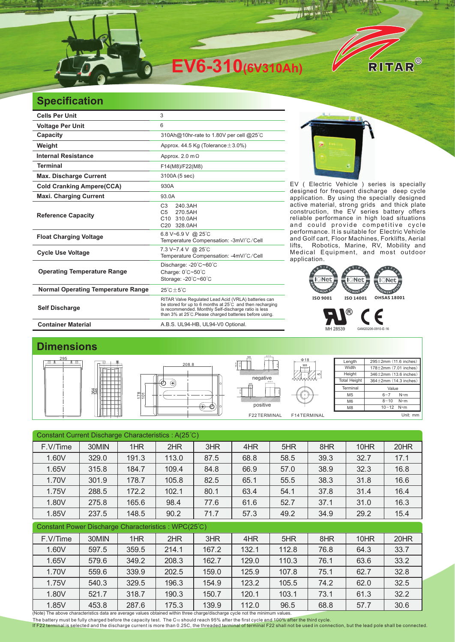

## **Specification**

| <b>Cells Per Unit</b>                     | 3                                                                                                                                                                                                                                   |  |  |  |  |
|-------------------------------------------|-------------------------------------------------------------------------------------------------------------------------------------------------------------------------------------------------------------------------------------|--|--|--|--|
| <b>Voltage Per Unit</b>                   | 6                                                                                                                                                                                                                                   |  |  |  |  |
| <b>Capacity</b>                           | 310Ah@10hr-rate to 1.80V per cell @25°C                                                                                                                                                                                             |  |  |  |  |
| Weight                                    | Approx. 44.5 Kg (Tolerance $\pm$ 3.0%)                                                                                                                                                                                              |  |  |  |  |
| <b>Internal Resistance</b>                | Approx. 2.0 $m\Omega$                                                                                                                                                                                                               |  |  |  |  |
| <b>Terminal</b>                           | F14(M8)/F22(M8)                                                                                                                                                                                                                     |  |  |  |  |
| <b>Max. Discharge Current</b>             | 3100A (5 sec)                                                                                                                                                                                                                       |  |  |  |  |
| <b>Cold Cranking Ampere(CCA)</b>          | 930A                                                                                                                                                                                                                                |  |  |  |  |
| <b>Maxi. Charging Current</b>             | 93.0A                                                                                                                                                                                                                               |  |  |  |  |
| <b>Reference Capacity</b>                 | 240.3AH<br>C <sub>3</sub><br>270.5AH<br>C5<br>C10 310.0AH<br>C20 328.0AH                                                                                                                                                            |  |  |  |  |
| <b>Float Charging Voltage</b>             | 6.8 V~6.9 V @ 25°C<br>Temperature Compensation: -3mV/°C/Cell                                                                                                                                                                        |  |  |  |  |
| <b>Cycle Use Voltage</b>                  | 7.3 V~7.4 V @ 25°C<br>Temperature Compensation: -4mV/°C/Cell                                                                                                                                                                        |  |  |  |  |
| <b>Operating Temperature Range</b>        | Discharge: $-20^{\circ}$ C $-60^{\circ}$ C<br>Charge: 0°C~50°C<br>Storage: -20°C~60°C                                                                                                                                               |  |  |  |  |
| <b>Normal Operating Temperature Range</b> | $25^{\circ}$ C + $5^{\circ}$ C                                                                                                                                                                                                      |  |  |  |  |
| <b>Self Discharge</b>                     | RITAR Valve Regulated Lead Acid (VRLA) batteries can<br>be stored for up to 6 months at 25°C and then recharging<br>is recommended. Monthly Self-discharge ratio is less<br>than 3% at 25°C. Please charged batteries before using. |  |  |  |  |
| <b>Container Material</b>                 | A.B.S. UL94-HB, UL94-V0 Optional.                                                                                                                                                                                                   |  |  |  |  |



EV ( Electric Vehicle ) series is specially designed for frequent discharge deep cycle application. By using the specially designed active material, strong grids and thick plate construction, the EV series battery offers reliable performance in high load situations and could provide competitive cycle performance. It is suitable for Electric Vehicle and Golf cart, Floor Machines, Forklifts, Aerial lifts, Robotics, Marine, RV, Mobility and Medical Equipment, and most outdoor application. It is suitable for



MH 28539 G4M20206-0910-E-16

## **Dimensions**



| Constant Current Discharge Characteristics: A(25°C) |       |       |       |       |       |       |      |      |      |  |
|-----------------------------------------------------|-------|-------|-------|-------|-------|-------|------|------|------|--|
| F.V/Time                                            | 30MIN | 1HR   | 2HR   | 3HR   | 4HR   | 5HR   | 8HR  | 10HR | 20HR |  |
| 1.60V                                               | 329.0 | 191.3 | 113.0 | 87.5  | 68.8  | 58.5  | 39.3 | 32.7 | 17.1 |  |
| 1.65V                                               | 315.8 | 184.7 | 109.4 | 84.8  | 66.9  | 57.0  | 38.9 | 32.3 | 16.8 |  |
| 1.70V                                               | 301.9 | 178.7 | 105.8 | 82.5  | 65.1  | 55.5  | 38.3 | 31.8 | 16.6 |  |
| 1.75V                                               | 288.5 | 172.2 | 102.1 | 80.1  | 63.4  | 54.1  | 37.8 | 31.4 | 16.4 |  |
| 1.80V                                               | 275.8 | 165.6 | 98.4  | 77.6  | 61.6  | 52.7  | 37.1 | 31.0 | 16.3 |  |
| 1.85V                                               | 237.5 | 148.5 | 90.2  | 71.7  | 57.3  | 49.2  | 34.9 | 29.2 | 15.4 |  |
| Constant Power Discharge Characteristics: WPC(25°C) |       |       |       |       |       |       |      |      |      |  |
| F.V/Time                                            | 30MIN | 1HR   | 2HR   | 3HR   | 4HR   | 5HR   | 8HR  | 10HR | 20HR |  |
| 1.60V                                               | 597.5 | 359.5 | 214.1 | 167.2 | 132.1 | 112.8 | 76.8 | 64.3 | 33.7 |  |
| 1.65V                                               | 579.6 | 349.2 | 208.3 | 162.7 | 129.0 | 110.3 | 76.1 | 63.6 | 33.2 |  |
| 1.70V                                               | 559.6 | 339.9 | 202.5 | 159.0 | 125.9 | 107.8 | 75.1 | 62.7 | 32.8 |  |
| 1.75V                                               | 540.3 | 329.5 | 196.3 | 154.9 | 123.2 | 105.5 | 74.2 | 62.0 | 32.5 |  |
| 1.80V                                               | 521.7 | 318.7 | 190.3 | 150.7 | 120.1 | 103.1 | 73.1 | 61.3 | 32.2 |  |
| 1.85V                                               | 453.8 | 287.6 | 175.3 | 139.9 | 112.0 | 96.5  | 68.8 | 57.7 | 30.6 |  |

(Note) The above characteristics data are average values obtained within three charge/discharge cycle not the minimum values.

The battery must be fully charged before the capacity test. The C10 should reach 95% after the first cycle and 100% after the third cycle.<br><mark>If F22 terminal is selected</mark> and the discharge current is more than 0.25C, the thr